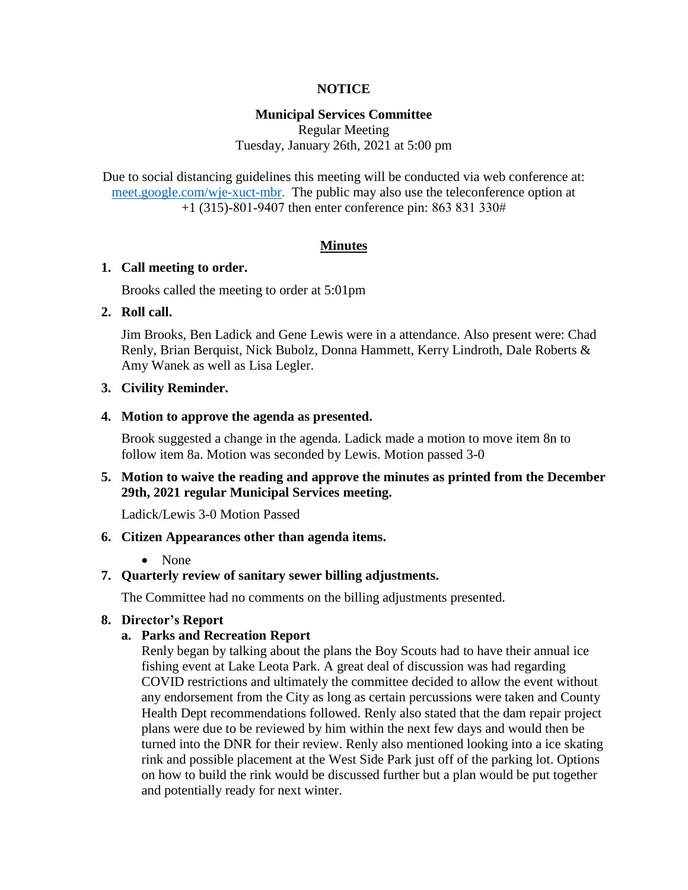# **NOTICE**

# **Municipal Services Committee**

Regular Meeting Tuesday, January 26th, 2021 at 5:00 pm

Due to social distancing guidelines this meeting will be conducted via web conference at: [meet.google.com/wje-xuct-mbr.](meet.google.com/wje-xuct-mbr) The public may also use the teleconference option at +1 (315)-801-9407 then enter conference pin: 863 831 330#

### **Minutes**

#### **1. Call meeting to order.**

Brooks called the meeting to order at 5:01pm

# **2. Roll call.**

Jim Brooks, Ben Ladick and Gene Lewis were in a attendance. Also present were: Chad Renly, Brian Berquist, Nick Bubolz, Donna Hammett, Kerry Lindroth, Dale Roberts & Amy Wanek as well as Lisa Legler.

# **3. Civility Reminder.**

#### **4. Motion to approve the agenda as presented.**

Brook suggested a change in the agenda. Ladick made a motion to move item 8n to follow item 8a. Motion was seconded by Lewis. Motion passed 3-0

# **5. Motion to waive the reading and approve the minutes as printed from the December 29th, 2021 regular Municipal Services meeting.**

Ladick/Lewis 3-0 Motion Passed

### **6. Citizen Appearances other than agenda items.**

#### • None

# **7. Quarterly review of sanitary sewer billing adjustments.**

The Committee had no comments on the billing adjustments presented.

### **8. Director's Report**

### **a. Parks and Recreation Report**

Renly began by talking about the plans the Boy Scouts had to have their annual ice fishing event at Lake Leota Park. A great deal of discussion was had regarding COVID restrictions and ultimately the committee decided to allow the event without any endorsement from the City as long as certain percussions were taken and County Health Dept recommendations followed. Renly also stated that the dam repair project plans were due to be reviewed by him within the next few days and would then be turned into the DNR for their review. Renly also mentioned looking into a ice skating rink and possible placement at the West Side Park just off of the parking lot. Options on how to build the rink would be discussed further but a plan would be put together and potentially ready for next winter.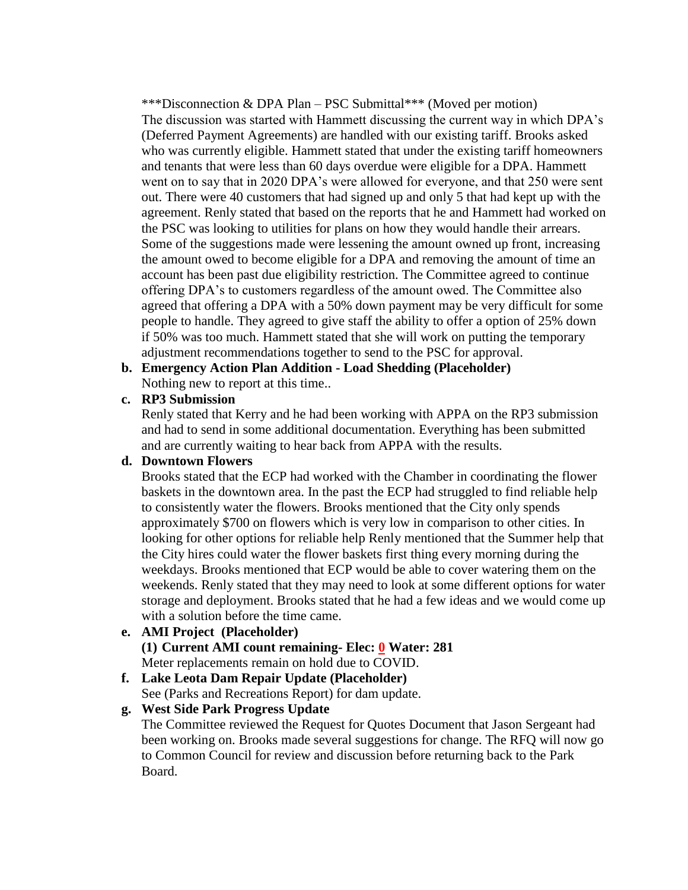\*\*\*Disconnection & DPA Plan – PSC Submittal\*\*\* (Moved per motion) The discussion was started with Hammett discussing the current way in which DPA's (Deferred Payment Agreements) are handled with our existing tariff. Brooks asked who was currently eligible. Hammett stated that under the existing tariff homeowners and tenants that were less than 60 days overdue were eligible for a DPA. Hammett went on to say that in 2020 DPA's were allowed for everyone, and that 250 were sent out. There were 40 customers that had signed up and only 5 that had kept up with the agreement. Renly stated that based on the reports that he and Hammett had worked on the PSC was looking to utilities for plans on how they would handle their arrears. Some of the suggestions made were lessening the amount owned up front, increasing the amount owed to become eligible for a DPA and removing the amount of time an account has been past due eligibility restriction. The Committee agreed to continue offering DPA's to customers regardless of the amount owed. The Committee also agreed that offering a DPA with a 50% down payment may be very difficult for some people to handle. They agreed to give staff the ability to offer a option of 25% down if 50% was too much. Hammett stated that she will work on putting the temporary adjustment recommendations together to send to the PSC for approval.

**b. Emergency Action Plan Addition - Load Shedding (Placeholder)**

Nothing new to report at this time..

# **c. RP3 Submission**

Renly stated that Kerry and he had been working with APPA on the RP3 submission and had to send in some additional documentation. Everything has been submitted and are currently waiting to hear back from APPA with the results.

# **d. Downtown Flowers**

Brooks stated that the ECP had worked with the Chamber in coordinating the flower baskets in the downtown area. In the past the ECP had struggled to find reliable help to consistently water the flowers. Brooks mentioned that the City only spends approximately \$700 on flowers which is very low in comparison to other cities. In looking for other options for reliable help Renly mentioned that the Summer help that the City hires could water the flower baskets first thing every morning during the weekdays. Brooks mentioned that ECP would be able to cover watering them on the weekends. Renly stated that they may need to look at some different options for water storage and deployment. Brooks stated that he had a few ideas and we would come up with a solution before the time came.

# **e. AMI Project (Placeholder)**

**(1) Current AMI count remaining- Elec: 0 Water: 281**

Meter replacements remain on hold due to COVID.

# **f. Lake Leota Dam Repair Update (Placeholder)**

See (Parks and Recreations Report) for dam update.

# **g. West Side Park Progress Update**

The Committee reviewed the Request for Quotes Document that Jason Sergeant had been working on. Brooks made several suggestions for change. The RFQ will now go to Common Council for review and discussion before returning back to the Park Board.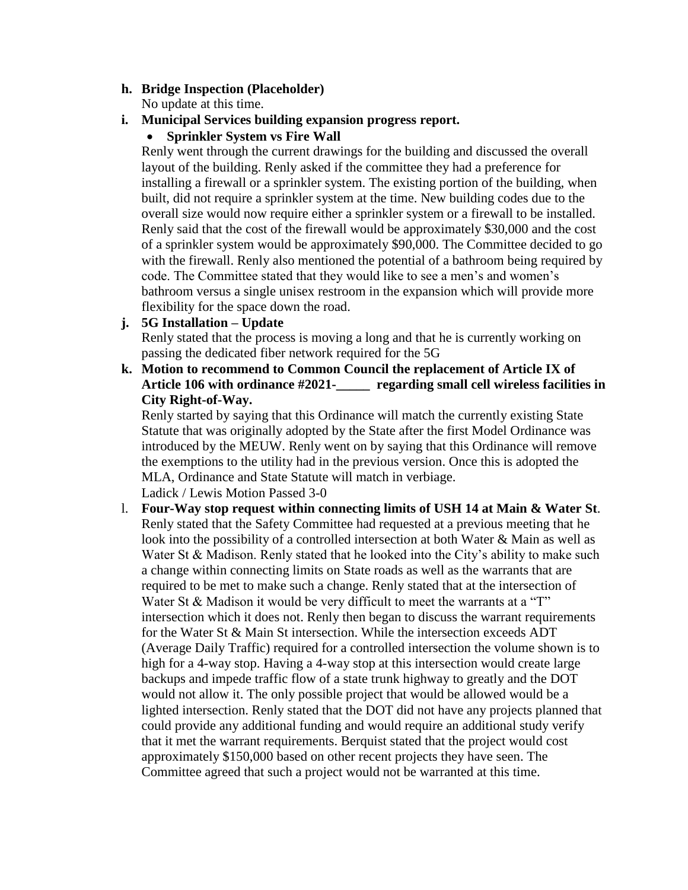# **h. Bridge Inspection (Placeholder)**

No update at this time.

# **i. Municipal Services building expansion progress report.**

**•** Sprinkler System vs Fire Wall

Renly went through the current drawings for the building and discussed the overall layout of the building. Renly asked if the committee they had a preference for installing a firewall or a sprinkler system. The existing portion of the building, when built, did not require a sprinkler system at the time. New building codes due to the overall size would now require either a sprinkler system or a firewall to be installed. Renly said that the cost of the firewall would be approximately \$30,000 and the cost of a sprinkler system would be approximately \$90,000. The Committee decided to go with the firewall. Renly also mentioned the potential of a bathroom being required by code. The Committee stated that they would like to see a men's and women's bathroom versus a single unisex restroom in the expansion which will provide more flexibility for the space down the road.

# **j. 5G Installation – Update**

Renly stated that the process is moving a long and that he is currently working on passing the dedicated fiber network required for the 5G

**k. Motion to recommend to Common Council the replacement of Article IX of Article 106 with ordinance #2021-\_\_\_\_\_ regarding small cell wireless facilities in City Right-of-Way.**

Renly started by saying that this Ordinance will match the currently existing State Statute that was originally adopted by the State after the first Model Ordinance was introduced by the MEUW. Renly went on by saying that this Ordinance will remove the exemptions to the utility had in the previous version. Once this is adopted the MLA, Ordinance and State Statute will match in verbiage. Ladick / Lewis Motion Passed 3-0

l. **Four-Way stop request within connecting limits of USH 14 at Main & Water St**. Renly stated that the Safety Committee had requested at a previous meeting that he look into the possibility of a controlled intersection at both Water & Main as well as Water St & Madison. Renly stated that he looked into the City's ability to make such a change within connecting limits on State roads as well as the warrants that are required to be met to make such a change. Renly stated that at the intersection of Water St & Madison it would be very difficult to meet the warrants at a "T" intersection which it does not. Renly then began to discuss the warrant requirements for the Water St & Main St intersection. While the intersection exceeds ADT (Average Daily Traffic) required for a controlled intersection the volume shown is to high for a 4-way stop. Having a 4-way stop at this intersection would create large backups and impede traffic flow of a state trunk highway to greatly and the DOT would not allow it. The only possible project that would be allowed would be a lighted intersection. Renly stated that the DOT did not have any projects planned that could provide any additional funding and would require an additional study verify that it met the warrant requirements. Berquist stated that the project would cost approximately \$150,000 based on other recent projects they have seen. The Committee agreed that such a project would not be warranted at this time.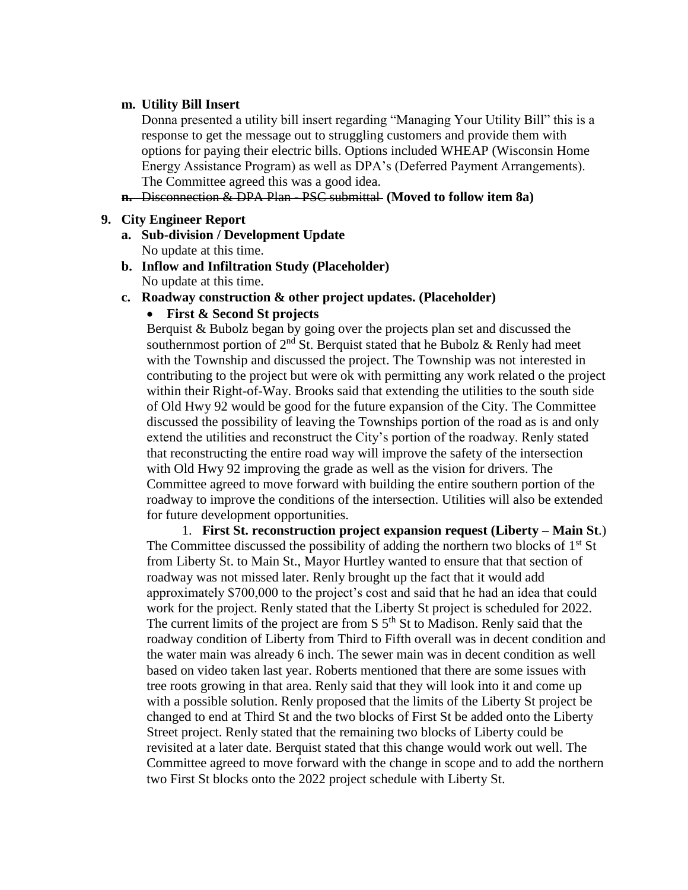### **m. Utility Bill Insert**

Donna presented a utility bill insert regarding "Managing Your Utility Bill" this is a response to get the message out to struggling customers and provide them with options for paying their electric bills. Options included WHEAP (Wisconsin Home Energy Assistance Program) as well as DPA's (Deferred Payment Arrangements). The Committee agreed this was a good idea.

**n.** Disconnection & DPA Plan - PSC submittal **(Moved to follow item 8a)**

#### **9. City Engineer Report**

- **a. Sub-division / Development Update** No update at this time.
- **b. Inflow and Infiltration Study (Placeholder)** No update at this time.
- **c. Roadway construction & other project updates. (Placeholder)**

## **First & Second St projects**

Berquist & Bubolz began by going over the projects plan set and discussed the southernmost portion of  $2<sup>nd</sup>$  St. Berquist stated that he Bubolz & Renly had meet with the Township and discussed the project. The Township was not interested in contributing to the project but were ok with permitting any work related o the project within their Right-of-Way. Brooks said that extending the utilities to the south side of Old Hwy 92 would be good for the future expansion of the City. The Committee discussed the possibility of leaving the Townships portion of the road as is and only extend the utilities and reconstruct the City's portion of the roadway. Renly stated that reconstructing the entire road way will improve the safety of the intersection with Old Hwy 92 improving the grade as well as the vision for drivers. The Committee agreed to move forward with building the entire southern portion of the roadway to improve the conditions of the intersection. Utilities will also be extended for future development opportunities.

1. **First St. reconstruction project expansion request (Liberty – Main St**.) The Committee discussed the possibility of adding the northern two blocks of  $1<sup>st</sup>$  St from Liberty St. to Main St., Mayor Hurtley wanted to ensure that that section of roadway was not missed later. Renly brought up the fact that it would add approximately \$700,000 to the project's cost and said that he had an idea that could work for the project. Renly stated that the Liberty St project is scheduled for 2022. The current limits of the project are from  $S$   $5<sup>th</sup>$  St to Madison. Renly said that the roadway condition of Liberty from Third to Fifth overall was in decent condition and the water main was already 6 inch. The sewer main was in decent condition as well based on video taken last year. Roberts mentioned that there are some issues with tree roots growing in that area. Renly said that they will look into it and come up with a possible solution. Renly proposed that the limits of the Liberty St project be changed to end at Third St and the two blocks of First St be added onto the Liberty Street project. Renly stated that the remaining two blocks of Liberty could be revisited at a later date. Berquist stated that this change would work out well. The Committee agreed to move forward with the change in scope and to add the northern two First St blocks onto the 2022 project schedule with Liberty St.